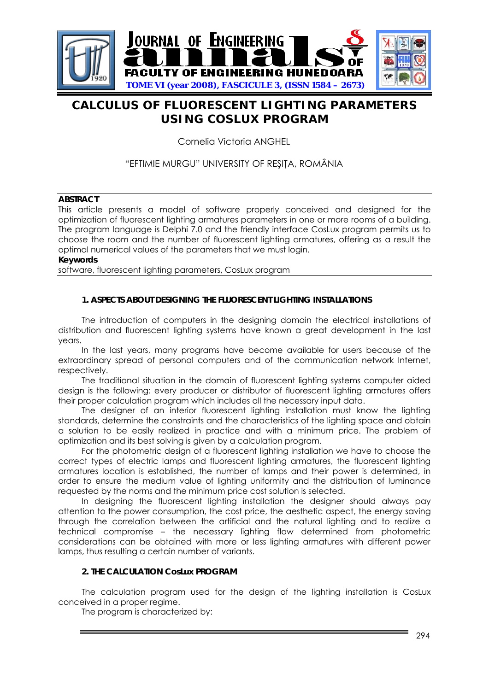

# **CALCULUS OF FLUORESCENT LIGHTING PARAMETERS USING COSLUX PROGRAM**

Cornelia Victoria ANGHEL

## "EFTIMIE MURGU" UNIVERSITY OF RESITA, ROMÂNIA

## **ABSTRACT**

This article presents a model of software properly conceived and designed for the optimization of fluorescent lighting armatures parameters in one or more rooms of a building. The program language is Delphi 7.0 and the friendly interface CosLux program permits us to choose the room and the number of fluorescent lighting armatures, offering as a result the optimal numerical values of the parameters that we must login.

### **Keywords**

software, fluorescent lighting parameters, CosLux program

## **1. ASPECTS ABOUT DESIGNING THE FLUORESCENT LIGHTING INSTALLATIONS**

The introduction of computers in the designing domain the electrical installations of distribution and fluorescent lighting systems have known a great development in the last years.

In the last years, many programs have become available for users because of the extraordinary spread of personal computers and of the communication network Internet, respectively.

The traditional situation in the domain of fluorescent lighting systems computer aided design is the following: every producer or distributor of fluorescent lighting armatures offers their proper calculation program which includes all the necessary input data.

The designer of an interior fluorescent lighting installation must know the lighting standards, determine the constraints and the characteristics of the lighting space and obtain a solution to be easily realized in practice and with a minimum price. The problem of optimization and its best solving is given by a calculation program.

For the photometric design of a fluorescent lighting installation we have to choose the correct types of electric lamps and fluorescent lighting armatures, the fluorescent lighting armatures location is established, the number of lamps and their power is determined, in order to ensure the medium value of lighting uniformity and the distribution of luminance requested by the norms and the minimum price cost solution is selected.

In designing the fluorescent lighting installation the designer should always pay attention to the power consumption, the cost price, the aesthetic aspect, the energy saving through the correlation between the artificial and the natural lighting and to realize a technical compromise – the necessary lighting flow determined from photometric considerations can be obtained with more or less lighting armatures with different power lamps, thus resulting a certain number of variants.

#### **2. THE CALCULATION CosLux PROGRAM**

The calculation program used for the design of the lighting installation is CosLux conceived in a proper regime.

The program is characterized by: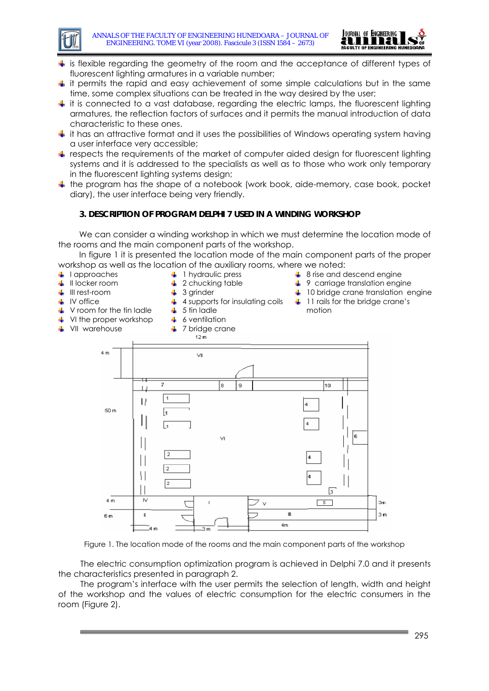



- $\ddot{\bullet}$  is flexible regarding the geometry of the room and the acceptance of different types of fluorescent lighting armatures in a variable number;
- $\ddot{\phantom{1}}$  it permits the rapid and easy achievement of some simple calculations but in the same time, some complex situations can be treated in the way desired by the user;
- $\ddot{\!+}$  it is connected to a vast database, regarding the electric lamps, the fluorescent lighting armatures, the reflection factors of surfaces and it permits the manual introduction of data characteristic to these ones.
- $\ddot{\bullet}$  it has an attractive format and it uses the possibilities of Windows operating system having a user interface very accessible;
- $\ddagger$  respects the requirements of the market of computer aided design for fluorescent lighting systems and it is addressed to the specialists as well as to those who work only temporary in the fluorescent lighting systems design;
- $\ddot{\phantom{1}}$  the program has the shape of a notebook (work book, aide-memory, case book, pocket diary), the user interface being very friendly.

## **3. DESCRIPTION OF PROGRAM DELPHI 7 USED IN A WINDING WORKSHOP**

 $\ddot{\bullet}$  4 supports for insulating coils

We can consider a winding workshop in which we must determine the location mode of the rooms and the main component parts of the workshop.

In figure 1 it is presented the location mode of the main component parts of the proper workshop as well as the location of the auxiliary rooms, where we noted:

- $\downarrow$  lapproaches
- $\ddagger$  1 hydraulic press
- **↓** II locker room
- $\frac{1}{2}$  2 chucking table
- **↓** III rest-room
- $\frac{1}{2}$  3 grinder

5 tin ladle 6 ventilation

 $\frac{1}{2}$ ÷

- 
- $\ddagger$  IV office
- $\downarrow$  V room for the tin ladle
- **VI** the proper workshop
- ↓ VII warehouse
- 7 bridge crane  $\bullet$
- **↓ 8 rise and descend engine**
- $\frac{1}{2}$  9 carriage translation engine
- $\downarrow$  10 bridge crane translation engine
- <sup>1</sup>11 rails for the bridge crane's motion



Figure 1. The location mode of the rooms and the main component parts of the workshop

The electric consumption optimization program is achieved in Delphi 7.0 and it presents the characteristics presented in paragraph 2.

The program's interface with the user permits the selection of length, width and height of the workshop and the values of electric consumption for the electric consumers in the room (Figure 2).